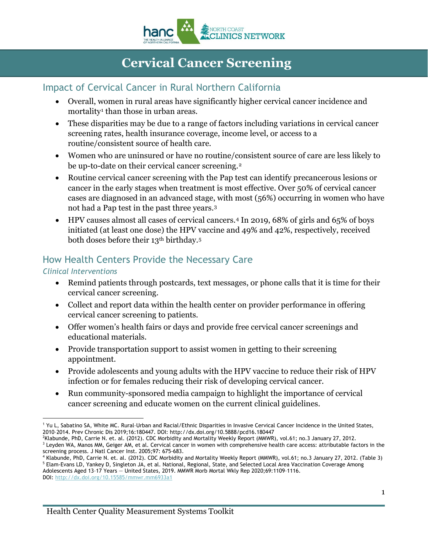

# **Cervical Cancer Screening**

### Impact of Cervical Cancer in Rural Northern California

- Overall, women in rural areas have significantly higher cervical cancer incidence and mortality<sup>[1](#page-0-0)</sup> than those in urban areas.
- These disparities may be due to a range of factors including variations in cervical cancer screening rates, health insurance coverage, income level, or access to a routine/consistent source of health care.
- Women who are uninsured or have no routine/consistent source of care are less likely to be up-to-date on their cervical cancer screening.<sup>[2](#page-0-1)</sup>
- Routine cervical cancer screening with the Pap test can identify precancerous lesions or cancer in the early stages when treatment is most effective. Over 50% of cervical cancer cases are diagnosed in an advanced stage, with most (56%) occurring in women who have not had a Pap test in the past three years.[3](#page-0-2)
- HPV causes almost all cases of cervical cancers.<sup>[4](#page-0-3)</sup> In 2019, 68% of girls and 65% of boys initiated (at least one dose) the HPV vaccine and 49% and 42%, respectively, received both doses before their 13th birthday.[5](#page-0-4)

## How Health Centers Provide the Necessary Care

#### *Clinical Interventions*

- Remind patients through postcards, text messages, or phone calls that it is time for their cervical cancer screening.
- Collect and report data within the health center on provider performance in offering cervical cancer screening to patients.
- Offer women's health fairs or days and provide free cervical cancer screenings and educational materials.
- Provide transportation support to assist women in getting to their screening appointment.
- Provide adolescents and young adults with the HPV vaccine to reduce their risk of HPV infection or for females reducing their risk of developing cervical cancer.
- Run community-sponsored media campaign to highlight the importance of cervical cancer screening and educate women on the current clinical guidelines.

DOI: <http://dx.doi.org/10.15585/mmwr.mm6933a1>

<span id="page-0-0"></span><sup>&</sup>lt;sup>-</sup> <sup>1</sup> Yu L, Sabatino SA, White MC. Rural–Urban and Racial/Ethnic Disparities in Invasive Cervical Cancer Incidence in the United States, 2010–2014. Prev Chronic Dis 2019;16:180447. DOI: http://dx.doi.org/10.5888/pcd16.180447

<span id="page-0-1"></span><sup>2</sup> Klabunde, PhD, Carrie N. et. al. (2012). CDC Morbidity and Mortality Weekly Report (MMWR), vol.61; no.3 January 27, 2012. <sup>3</sup> Leyden WA, Manos MM, Geiger AM, et al. Cervical cancer in women with comprehensive health care access: attributable factors in the

<span id="page-0-4"></span><span id="page-0-3"></span><span id="page-0-2"></span>screening process. J Natl Cancer Inst. 2005;97: 675-683.<br><sup>4</sup> Klabunde, PhD, Carrie N. et. al. (2012). CDC Morbidity and Mortality Weekly Report (MMWR), vol.61; no.3 January 27, 2012. (Table 3) <sup>5</sup> Elam-Evans LD, Yankey D, Singleton JA, et al. National, Regional, State, and Selected Local Area Vaccination Coverage Among Adolescents Aged 13–17 Years — United States, 2019. MMWR Morb Mortal Wkly Rep 2020;69:1109–1116.